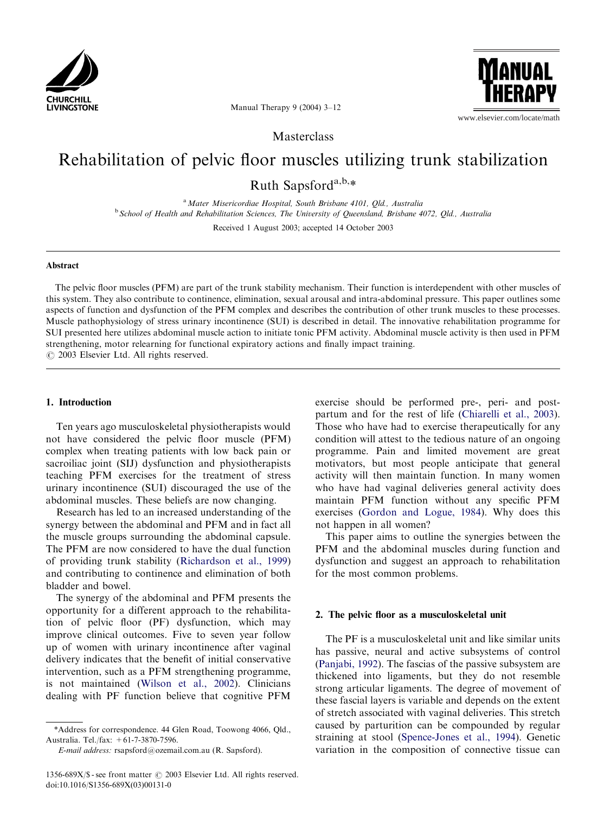

Manual Therapy 9 (2004) 3–12

www.elsevier.com/locate/math

**Masterclass** 

# Rehabilitation of pelvic floor muscles utilizing trunk stabilization

Ruth Sapsford<sup>a,b,\*</sup>

<sup>a</sup> Mater Misericordiae Hospital, South Brisbane 4101, Qld., Australia <sup>b</sup> School of Health and Rehabilitation Sciences, The University of Queensland, Brisbane 4072, Qld., Australia

Received 1 August 2003; accepted 14 October 2003

#### Abstract

The pelvic floor muscles (PFM) are part of the trunk stability mechanism. Their function is interdependent with other muscles of this system. They also contribute to continence, elimination, sexual arousal and intra-abdominal pressure. This paper outlines some aspects of function and dysfunction of the PFM complex and describes the contribution of other trunk muscles to these processes. Muscle pathophysiology of stress urinary incontinence (SUI) is described in detail. The innovative rehabilitation programme for SUI presented here utilizes abdominal muscle action to initiate tonic PFM activity. Abdominal muscle activity is then used in PFM strengthening, motor relearning for functional expiratory actions and finally impact training.  $\odot$  2003 Elsevier Ltd. All rights reserved.

## 1. Introduction

Ten years ago musculoskeletal physiotherapists would not have considered the pelvic floor muscle (PFM) complex when treating patients with low back pain or sacroiliac joint (SIJ) dysfunction and physiotherapists teaching PFM exercises for the treatment of stress urinary incontinence (SUI) discouraged the use of the abdominal muscles. These beliefs are now changing.

Research has led to an incre[ased understanding of the](#page-8-0) synergy between the abdominal and PFM and in fact all the muscle groups surrounding the abdominal capsule. The PFM are now considered to have the dual function of providing trunk stability (Richardson et al., 1999) and contributing to continence and elimination of both bladder and bowel.

The synergy of the abdominal and PFM presents the opportunity for a different approach to the rehabilitation of pelvic floor (PF) dysfunction, which may improve clinical out[comes. Five to seven](#page-9-0) year follow up of women with urinary incontinence after vaginal delivery indicates that the benefit of initial conservative intervention, such as a PFM strengthening programme, is not maintained (Wilson et al., 2002). Clinicians dealing with PF function believe that cognitive PFM

exercise should be performed pre-, peri- and postpartum and for the rest of life (Chiarelli et al., 2003). Those who have had to exercise therapeutically for any condition will attest to the tedious nature of an ongoing programme. Pain and limited movement are great motivator[s, but most people anticip](#page-8-0)ate that general activity will then maintain function. In many women who have had vaginal deliveries general activity does maintain PFM function without any specific PFM exercises (Gordon and Logue, 1984). Why does this not happen in all women?

This paper aims to outline the synergies between the PFM and the abdominal muscles during function and dysfunction and suggest an approach to rehabilitation for the most common problems.

## [2. The pelvic fl](#page-8-0)oor as a musculoskeletal unit

The PF is a musculoskeletal unit and like similar units has passive, neural and active subsystems of control (Panjabi, 1992). The fascias of the passive subsystem are thickened into ligaments, but they do not resemble strong articular lig[aments. The degree of mo](#page-8-0)vement of these fascial layers is variable and depends on the extent of stretch associated with vaginal deliveries. This stretch caused by parturition can be compounded by regular straining at stool (Spence-Jones et al., 1994). Genetic variation in the composition of connective tissue can

<sup>\*</sup>Address for correspondence. 44 Glen Road, Toowong 4066, Qld., Australia. Tel./fax: +61-7-3870-7596.

E-mail address: rsapsford@ozemail.com.au (R. Sapsford).

<sup>1356-689</sup>X/\$ - see front matter  $\odot$  2003 Elsevier Ltd. All rights reserved. doi:10.1016/S1356-689X(03)00131-0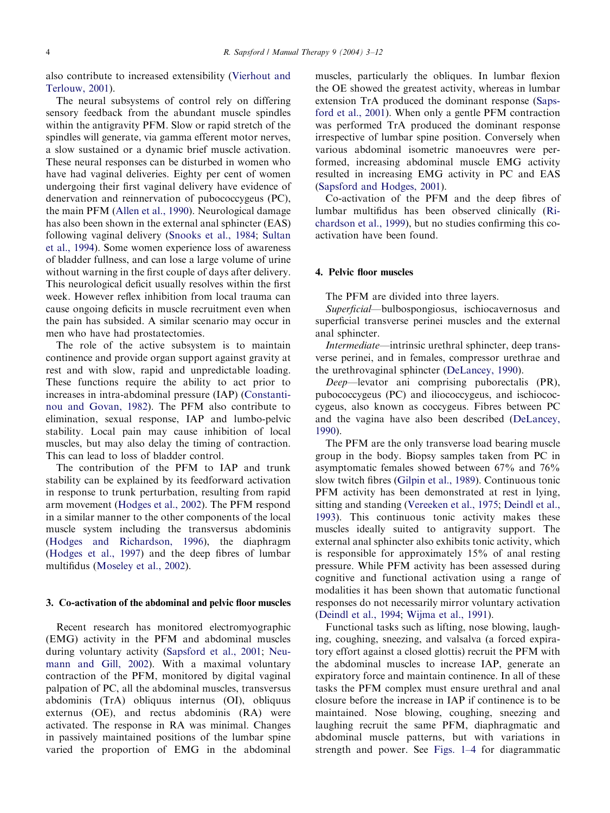also contribute to increased extensibility (Vierhout and Terlouw, 2001).

The neural subsystems of control rely on differing sensory feedback from the abundant muscle spindles within the antigravity PFM. Slow or rapid stretch of the spindles will generate, via gamma efferent motor nerves, a slow sustained or a dynamic brief muscle activation. These neural re[sponses can be di](#page-8-0)sturbed in women who have had vaginal deliveries. Eighty per cent of women undergoing their first vagin[al delivery have evidence of](#page-8-0) [denervation](#page-8-0) and reinnervation of pubococcygeus (PC), the main PFM (Allen et al., 1990). Neurological damage has also been shown in the external anal sphincter (EAS) following vaginal delivery (Snooks et al., 1984; Sultan et al., 1994). Some women experience loss of awareness of bladder fullness, and can lose a large volume of urine without warning in the first couple of days after delivery. This neurological deficit usually resolves within the first week. However reflex inhibition from local trauma can cause ongoing deficits in muscle recruitment even when the pain has subsided. A similar scenario may occur in men who have had prostatectomies.

The role of the active subsystem is t[o maintain](#page-8-0) [continence and provide](#page-8-0) organ support against gravity at rest and with slow, rapid and unpredictable loading. These functions require the ability to act prior to increases in intra-abdominal pressure (IAP) (Constantinou and Govan, 1982). The PFM also contribute to elimination, sexual response, IAP and lumbo-pelvic stability. Local pain may cause inhibition of local muscles, but may also delay the timing of contraction. This can lead to [loss of bladder con](#page-8-0)trol.

The contribution of the PFM to IAP and trunk stability can be explained by its feedforward activation i[n response to trunk perturbation, r](#page-8-0)esulting from rapid [arm movement \(Hodg](#page-8-0)es et al., 2002). The PFM respond in a similar [manner to the other](#page-8-0) components of the local muscle system including the transversus abdominis (Hodges and Richardson, 1996), the diaphragm (Hodges et al., 1997) and the deep fibres of lumbar multifidus (Moseley et al., 2002).

### 3. Co-activation of the abdo[minal and pelvic floor muscles](#page-8-0)

Recent research has monitored electromyographic (EMG) activity in the PFM and abdominal muscles during voluntary activity (Sapsford et al., 2001; Neumann and Gill, 2002). With a maximal voluntary contraction of the PFM, monitored by digital vaginal palpation of PC, all the abdominal muscles, transversus abdominis (TrA) obliquus internus (OI), obliquus externus (OE), and rectus abdominis (RA) were activated. The response in RA was minimal. Changes in passively maintained positions of the lumbar spine varied the proportion of EMG in the abdominal muscles, particularly the obliques. In lumbar flexion the OE showed the greatest activity, whereas in lumbar extension TrA produced the dominant response (Sapsford et al., 2001). When only a gentle PFM contraction was performed TrA produced the dominant response i[rrespective of lumbar spine](#page-8-0) position. Conversely when various abdominal isometric manoeuvres were performed, increasing abdominal muscle EMG acti[vity](#page-8-0) [resulted in increasin](#page-8-0)g EMG activity in PC and EAS (Sapsford and Hodges, 2001).

Co-activation of the PFM and the deep fibres of lumbar multifidus has been observed clinically (Richardson et al., 1999), but no studies confirming this coactivation have been found.

# 4. Pelvic floor muscles

The PFM are divided into three layers.

Superficial—bulbospongiosus, ischiocavernosus and superficial transverse perinei [muscles and the](#page-8-0) external anal sphincter.

Intermediate—intrinsic urethral sphincter, deep transverse perinei, and in females, compressor urethrae and the urethrovaginal sphincter (DeLancey, 199[0\).](#page-8-0)

[De](#page-8-0)ep—levator ani comprising puborectalis (PR), pubococcygeus (PC) and iliococcygeus, and ischiococcygeus, also known as coccygeus. Fibres between PC and the vagina have also been described (DeLancey, 1990).

The PFM are the only transverse load bearing muscle group in the body. [Biopsy samples taken](#page-9-0) [from PC in](#page-8-0) [asym](#page-8-0)ptomatic females showed between 67% and 76% slow twitch fibres (Gilpin et al., 1989). Continuous tonic PFM activity has been demonstrated at rest in lying, sitting and standing (Vereeken et al., 1975; Deindl et al., 1993). This continuous tonic activity makes these muscles ideally suited to antigravity support. The external anal sphincter also exhibits tonic activity, which is responsible for approximately 15% of anal resting [pressure. While PF](#page-8-0)[M activity has been](#page-9-0) assessed during cognitive and functional activation using a range of modalities it has been shown that automatic functional responses do not necessarily mirror voluntary activation (Deindl et al., 1994; Wijma et al., 1991).

Functional tasks such as lifting, nose blowing, laughing, coughing, sneezing, and valsalva (a forced expiratory effort against a closed glottis) recruit the PFM with the abdominal muscles to increase IAP, generate an expiratory force and maintain continence. In all of these tasks the PFM complex must ensure urethral and anal closure before the increase [in IAP if](#page-2-0) continence is to be maintained. Nose blowing, coughing, sneezing and laughing recruit the same PFM, diaphragmatic and abdominal muscle patterns, but with variations in strength and power. See Figs. 1–4 for diagrammatic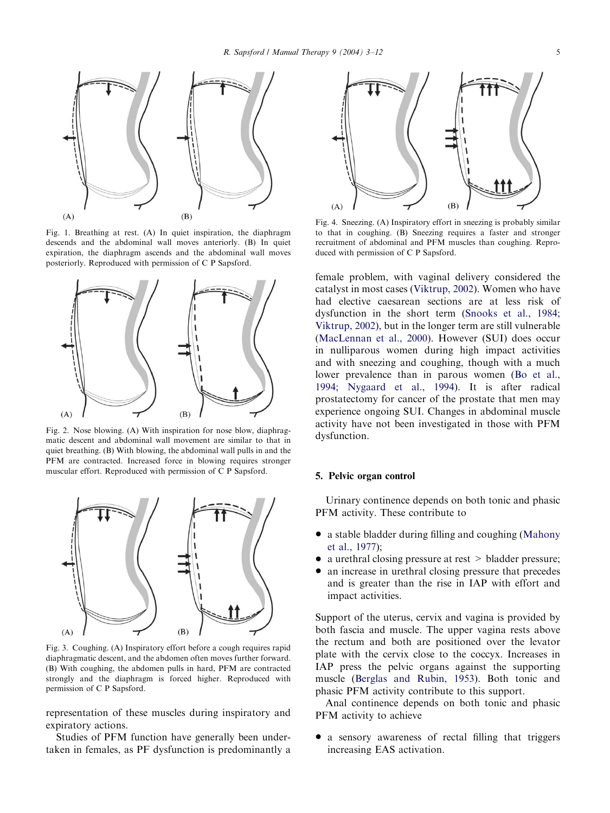<span id="page-2-0"></span>

Fig. 1. Breathing at rest. (A) In quiet inspiration, the diaphragm descends and the abdominal wall moves anteriorly. (B) In quiet expiration, the diaphragm ascends and the abdominal wall moves posteriorly. Reproduced with permission of C P Sapsford.



Fig. 2. Nose blowing. (A) With inspiration for nose blow, diaphragmatic descent and abdominal wall movement are similar to that in quiet breathing. (B) With blowing, the abdominal wall pulls in and the PFM are contracted. Increased force in blowing requires stronger muscular effort. Reproduced with permission of C P Sapsford.



Fig. 3. Coughing. (A) Inspiratory effort before a cough requires rapid diaphragmatic descent, and the abdomen often moves further forward. (B) With coughing, the abdomen pulls in hard, PFM are contracted strongly and the diaphragm is forced higher. Reproduced with permission of C P Sapsford.

representation of these muscles during inspiratory and expiratory actions.

Studies of PFM function have generally been undertaken in females, as PF dysfunction is predominantly a



Fig. 4. Sneezing. (A) Inspiratory effort in sneezing is probably similar to that in coughing. (B) Sneezing requires a faster and stronger recruitment of abdominal [and PFM muscles](#page-9-0) than coughing. Reproduced with permission of C P Sapsford.

[female proble](#page-9-0)m, with vaginal delivery considered the [catalyst in most cases \(Vik](#page-8-0)trup, 2002). Women who have had elective caesarean sections are at less risk of dysfunction in the short term (Snooks et al., 1984; Viktrup, 2002), but in the longer term are still [vulnerable](#page-8-0) [\(Mac](#page-8-0)L[ennan et al., 2000\). How](#page-8-0)ever (SUI) does occur in nulliparous women during high impact activities and with sneezing and coughing, though with a much lower prevalence than in parous women (Bo et al., 1994; Nygaard et al., 1994). It is after radical prostatectomy for cancer of the prostate that men may experience ongoing SUI. Changes in abdominal muscle activity have not been investigated in those with PFM dysfunction.

# 5. Pelvic organ control

[Urinary con](#page-8-0)tinence depends on both tonic and phasic PFM activity. These contribute to

- a stable bladder during filling and coughing (Mahony et al., 1977);
- a urethral closing pressure at rest > bladder pressure;
- an increase in urethral closing pressure that precedes and is greater than the rise in IAP with effort and impact activities.

Support of the uterus, cervix and vagina is provided by both fas[cia and muscle. The upper](#page-8-0) vagina rests above the rectum and both are positioned over the levator plate with the cervix close to the coccyx. Increases in IAP press the pelvic organs against the supporting muscle (Berglas and Rubin, 1953). Both tonic and phasic PFM activity contribute to this support.

Anal continence depends on both tonic and phasic PFM activity to achieve

a sensory awareness of rectal filling that triggers increasing EAS activation.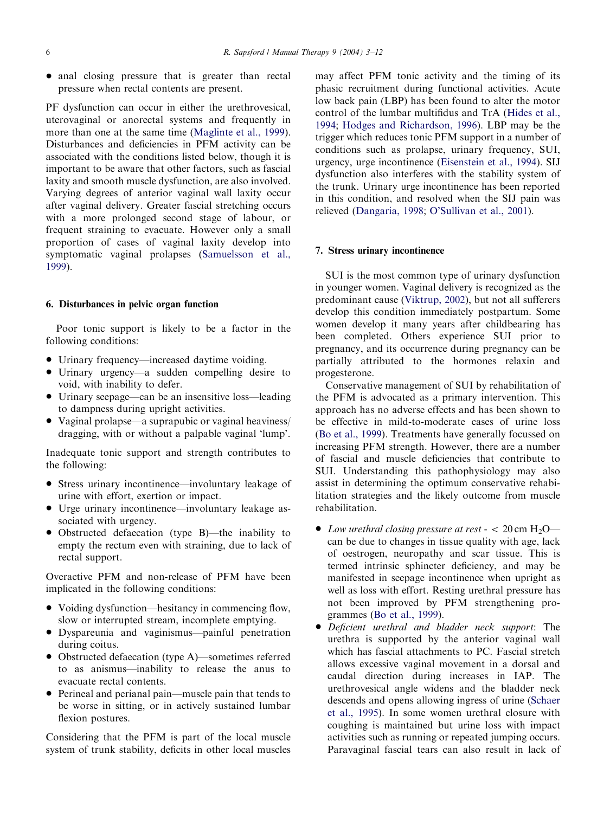• anal closing pressure that i[s greater than recta](#page-8-0)l pressure when rectal contents are present.

PF dysfunction can occur in either the urethrovesical, uterovaginal or anorectal systems and frequently in more than one at the same time (Maglinte et al., 1999). Disturbances and deficiencies in PFM activity can be associated with the conditions listed below, though it is important to be aware that other factors, such as fascial laxity and smooth muscle dysfunction, are also involved. Varying degrees of anterior vaginal wall laxity occur after vaginal delivery. Greater fasc[ial stretching occurs](#page-8-0) [with](#page-8-0) a more prolonged second stage of labour, or frequent straining to evacuate. However only a small proportion of cases of vaginal laxity develop into symptomatic vaginal prolapses (Samuelsson et al., 1999).

# 6. Disturbances in pelvic organ function

Poor tonic support is likely to be a factor in the following conditions:

- Urinary frequency—increased daytime voiding.
- Urinary urgency—a sudden compelling desire to void, with inability to defer.
- Urinary seepage—can be an insensitive loss—leading to dampness during upright activities.
- Vaginal prolapse—a suprapubic or vaginal heaviness/ dragging, with or without a palpable vaginal 'lump'.

Inadequate tonic support and strength contributes to the following:

- Stress urinary incontinence—involuntary leakage of urine with effort, exertion or impact.
- Urge urinary incontinence—involuntary leakage associated with urgency.
- \* Obstructed defaecation (type B)—the inability to empty the rectum even with straining, due to lack of rectal support.

Overactive PFM and non-release of PFM have been implicated in the following conditions:

- Voiding dysfunction—hesitancy in commencing flow. slow or interrupted stream, incomplete emptying.
- \* Dyspareunia and vaginismus—painful penetration during coitus.
- Obstructed defaecation (type A)—sometimes referred to as anismus—inability to release the anus to evacuate rectal contents.
- Perineal and perianal pain—muscle pain that tends to be worse in sitting, or in actively sustained lumbar flexion postures.

Considering that the PFM is part of the local muscle system of trunk stability, deficits in other local muscles

[may](#page-8-0) [affect PFM tonic activity and](#page-8-0) the timing of its phasic recruitment during functional activities. Acute low back pain (LBP) has been found to alter the motor control of the lumbar multi[fidus and TrA \(Hides e](#page-8-0)t al., 1994; Hodges and Richardson, 1996). LBP may be the trigger which reduces tonic PFM support in a number of conditions such as prolapse, urinary frequency, SUI, urgency, [urge incontinen](#page-8-0)c[e \(Eisenstein et al., 199](#page-8-0)4). SIJ dysfunction also interferes with the stability system of the trunk. Urinary urge incontinence has been reported in this condition, and resolved when the SIJ pain was relieved (Dangaria, 1998; O'Sullivan et al., 2001).

# 7. Stress urinary inc[ontinence](#page-9-0)

SUI is the most common type of urinary dysfunction in younger women. Vaginal delivery is recognized as the predominant cause (Viktrup, 2002), but not all sufferers develop this condition immediately postpartum. Some women develop it many years after childbearing has been completed. Others experience SUI prior to pregnancy, and its occurrence during pregnancy can be partially attributed to the hormones relaxin and progesterone.

[Conservative](#page-8-0) management of SUI by rehabilitation of the PFM is advocated as a primary intervention. This approach has no adverse effects and has been shown to be effective in mild-to-moderate cases of urine loss (Bo et al., 1999). Treatments have generally focussed on increasing PFM strength. However, there are a number of fascial and muscle deficiencies that contribute to SUI. Understanding this pathophysiology may also assist in determining the optimum conservative rehabilitation strategies and the likely outcome from muscle rehabilitation.

- Low urethral closing pressure at rest  $< 20 \text{ cm H}_2\text{O}$  can be due to changes in tissue quality with age, lack of oestrogen, neuropathy and scar tissue. This is termed in[trinsic sphincte](#page-8-0)r deficiency, and may be manifested in seepage incontinence when upright as well as loss with effort. Resting urethral pressure has not been improved by PFM strengthening programmes (Bo et al., 1999).
- Deficient urethral and bladder neck support: The urethra is supported by the anterior vaginal wall which has fascial attachments to PC. Fascial [stretch](#page-8-0) [allows exce](#page-8-0)ssive vaginal movement in a dorsal and caudal direction during increases in IAP. The urethrovesical angle widens and the bladder neck descends and opens allowing ingress of urine (Schaer et al., 1995). In some women urethral closure with coughing is maintained but urine loss with impact activities such as running or repeated jumping occurs. Paravaginal fascial tears can also result in lack of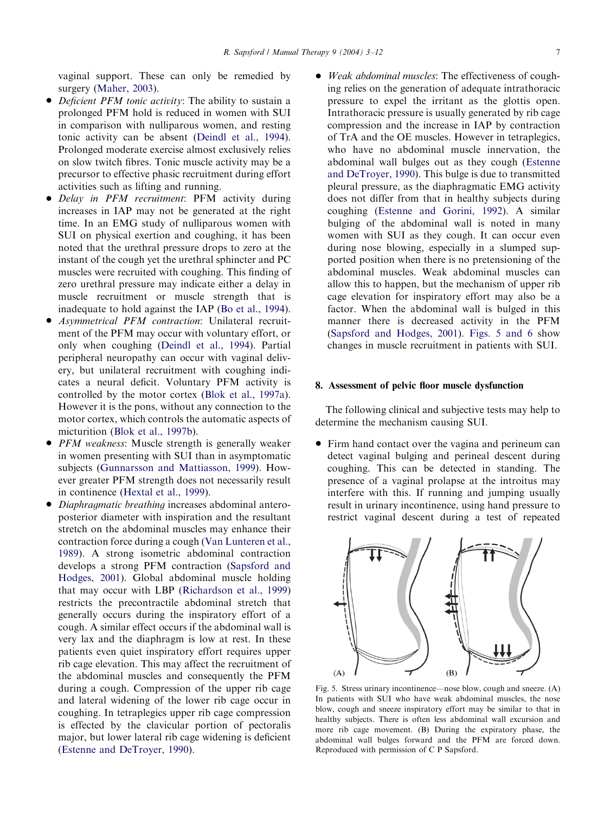vaginal support. These can only be remedied by surgery (Maher, 2003).

- Deficient PFM tonic activity: The ability to sustain a prolonged PFM hold is reduced in women with SUI in comparison with nulliparous women, and resting tonic activity can be absent (Deindl et al., 1994). Prolonged moderate exercise almost exclusively relies on slow twitch fibres. Tonic muscle activity may be a precursor to effective phasic recruitment during effort activities such as lifting and running.
- Delay in PFM recruitment: PFM activity during increases in IAP may not be generated at the right time. In an EMG study of nulliparous women with SUI on physical exertion and coughing, it has been noted that the urethral pressure drops to zero at the instant of the cough yet the urethral s[phincter and PC](#page-8-0) muscles were recruited with coughing. This finding of zero urethral pressure may indicate either a delay in muscle recruitment [or muscle strength](#page-8-0) that is inadequate to hold against the IAP (Bo et al., 1994).
- Asymmetrical PFM contraction: Unilateral recruitment of the PFM may occur with voluntary effort, or only when coughing (Deindl et [al., 1994\). Partia](#page-8-0)l peripheral neuropathy can occur with vaginal delivery, but unilateral recruitment with coughing indicates a neu[ral deficit. Volun](#page-8-0)tary PFM activity is controlled by the motor cortex (Blok et al., 1997a). However it is the pons, without any connection to the motor co[rtex, which controls the automatic as](#page-8-0)pects of micturition (Blok et al., 1997b).
- PFM weakness[: Muscle strength](#page-8-0) is generally weaker in women presenting with SUI than in asymptomatic subjects (Gunnarsson and Mattiasson, 1999). However greater PFM strength does not necessarily result in continence (Hextal et al., 1999[\).](#page-9-0)
- [Diap](#page-9-0)hragmatic breathing increases abdominal anteroposterior diameter with inspiration an[d the resultant](#page-8-0) [stretch on the](#page-8-0) abdominal muscles may enhance their contraction force during a c[ough \(Van Lunteren et al.](#page-8-0), 1989). A strong isometric abdominal contraction develops a strong PFM contraction (Sapsford and Hodges, 2001). Global abdominal muscle holding that may occur with LBP (Richardson et al., 1999) restricts the precontractile abdominal stretch that generally occurs during the inspiratory effort of a cough. A similar effect occurs if the abdominal wall is very lax and the diaphragm is low at rest. In these patients even quiet inspiratory effort requires upper rib cage elevation. This may affect the recruitment of the abdominal muscles and consequently the PFM during a cough. Compression of the upper rib cage [and lateral widening of the lo](#page-8-0)wer rib cage occur in coughing. In tetraplegics upper rib cage compression is effected by the clavicular portion of pectoralis major, but lower lateral rib cage widening is deficient (Estenne and DeTroyer, 1990).

• Weak abdominal muscles: The effectiveness of coughing relies on the generation of adequate intrathoracic pressure to expel the irritant as the glottis open. Intrathoracic pressure is usually generated by [rib cage](#page-8-0) [compression and th](#page-8-0)e increase in IAP by contraction of TrA and the OE muscles. However in tetraplegics, who have no abdominal muscle innervation, the abdominal [wall bulges out as they cou](#page-8-0)gh (Estenne and DeTroyer, 1990). This bulge is due to transmitted pleural pressure, as the diaphragmatic EMG activity does not differ from that in healthy subjects during coughing (Estenne and Gorini, 1992). A similar bulging of the abdominal wall is noted in many women with SUI as they cough. It can occur even during nose blowing, especially in a slumped supported position when there is no pretensioning of the abdominal muscles. Weak abdominal muscles can [allow this to happen, but the m](#page-8-0)echanism of upper rib cage elevation for inspiratory effort may also be a factor. When the abdominal wall is bulged in this manner there is decreased activity in the PFM (Sapsford and Hodges, 2001). Figs. 5 and 6 show changes in muscle recruitment in patients with SUI.

## 8. Assessment of pelvic floor muscle dysfunction

The following clinical and subjective tests may help to determine the mechanism causing SUI.

• Firm hand contact over the vagina and perineum can detect vaginal bulging and perineal descent during coughing. This can be detected in standing. The presence of a vaginal prolapse at the introitus may interfere with this. If running and jumping usually result in urinary incontinence, using hand pressure to restrict vaginal descent during a test of repeated



Fig. 5. Stress urinary incontinence—nose blow, cough and sneeze. (A) In patients with SUI who have weak abdominal muscles, the nose blow, cough and sneeze inspiratory effort may be similar to that in healthy subjects. There is often less abdominal wall excursion and more rib cage movement. (B) During the expiratory phase, the abdominal wall bulges forward and the PFM are forced down. Reproduced with permission of C P Sapsford.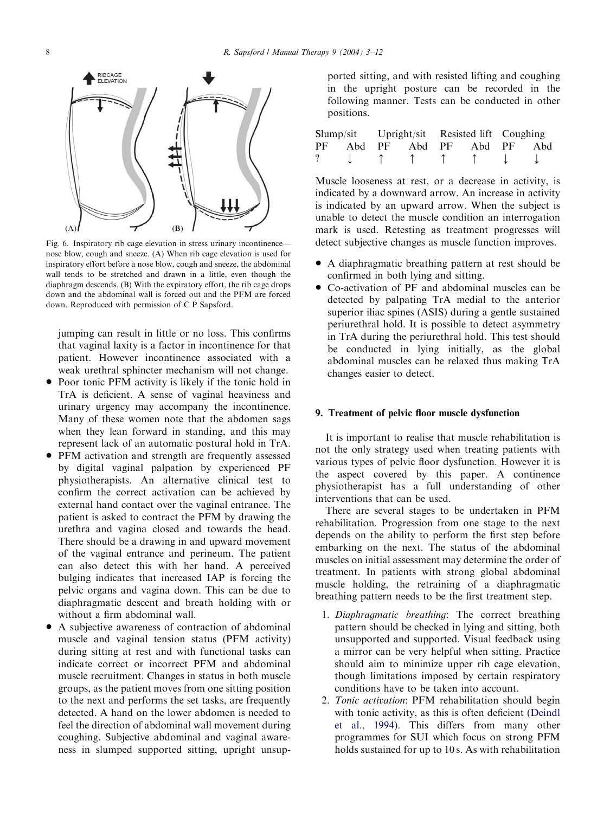

Fig. 6. Inspiratory rib cage elevation in stress urinary incontinence nose blow, cough and sneeze. (A) When rib cage elevation is used for inspiratory effort before a nose blow, cough and sneeze, the abdominal wall tends to be stretched and drawn in a little, even though the diaphragm descends. (B) With the expiratory effort, the rib cage drops down and the abdominal wall is forced out and the PFM are forced down. Reproduced with permission of C P Sapsford.

jumping can result in little or no loss. This confirms that vaginal laxity is a factor in incontinence for that patient. However incontinence associated with a weak urethral sphincter mechanism will not change.

- Poor tonic PFM activity is likely if the tonic hold in TrA is deficient. A sense of vaginal heaviness and urinary urgency may accompany the incontinence. Many of these women note that the abdomen sags when they lean forward in standing, and this may represent lack of an automatic postural hold in TrA.
- PFM activation and strength are frequently assessed by digital vaginal palpation by experienced PF physiotherapists. An alternative clinical test to confirm the correct activation can be achieved by external hand contact over the vaginal entrance. The patient is asked to contract the PFM by drawing the urethra and vagina closed and towards the head. There should be a drawing in and upward movement of the vaginal entrance and perineum. The patient can also detect this with her hand. A perceived bulging indicates that increased IAP is forcing the pelvic organs and vagina down. This can be due to diaphragmatic descent and breath holding with or without a firm abdominal wall.
- A subjective awareness of contraction of abdominal muscle and vaginal tension status (PFM activity) during sitting at rest and with functional tasks can indicate correct or incorrect PFM and abdominal muscle recruitment. Changes in status in both muscle groups, as the patient moves from one sitting position to the next and performs the set tasks, are frequently detected. A hand on the lower abdomen is needed to feel the direction of abdominal wall movement during coughing. Subjective abdominal and vaginal awareness in slumped supported sitting, upright unsup-

ported sitting, and with resisted lifting and coughing in the upright posture can be recorded in the following manner. Tests can be conducted in other positions.

|    |  |  |  | Slump/sit Upright/sit Resisted lift Coughing |                      |  |       |
|----|--|--|--|----------------------------------------------|----------------------|--|-------|
| PF |  |  |  |                                              | Abd PF Abd PF Abd PF |  | - Abd |
|    |  |  |  |                                              |                      |  |       |

Muscle looseness at rest, or a decrease in activity, is indicated by a downward arrow. An increase in activity is indicated by an upward arrow. When the subject is unable to detect the muscle condition an interrogation mark is used. Retesting as treatment progresses will detect subjective changes as muscle function improves.

- A diaphragmatic breathing pattern at rest should be confirmed in both lying and sitting.
- Co-activation of PF and abdominal muscles can be detected by palpating TrA medial to the anterior superior iliac spines (ASIS) during a gentle sustained periurethral hold. It is possible to detect asymmetry in TrA during the periurethral hold. This test should be conducted in lying initially, as the global abdominal muscles can be relaxed thus making TrA changes easier to detect.

#### 9. Treatment of pelvic floor muscle dysfunction

It is important to realise that muscle rehabilitation is not the only strategy used when treating patients with various types of pelvic floor dysfunction. However it is the aspect covered by this paper. A continence physiotherapist has a full understanding of other interventions that can be used.

There are several stages to be undertaken in PFM rehabilitation. Progression from one stage to the next depends on the ability to perform the first step before embarking on the next. The status of the abdominal muscles on initial assessment may determine the order of treatment. In patients with strong global abdominal muscle holding, the retraining of a diaphragmatic breathing pattern needs to be the first treatment step.

- 1. Diaphragmatic breathing: The correct breathing pattern should be checked in lying and sitting, both unsupported and supported. Visual feedback using a mirror can be very helpful when sitting. Practice should aim to minimize upper rib cage ele[vation,](#page-8-0) [though limita](#page-8-0)tions imposed by certain respiratory conditions have to be taken into account.
- 2. Tonic activation: PFM rehabilitation should begin with tonic activity, as this is often deficient (Deindl) et al., 1994). This differs from many other programmes for SUI which focus on strong PFM holds sustained for up to 10 s. As with rehabilitation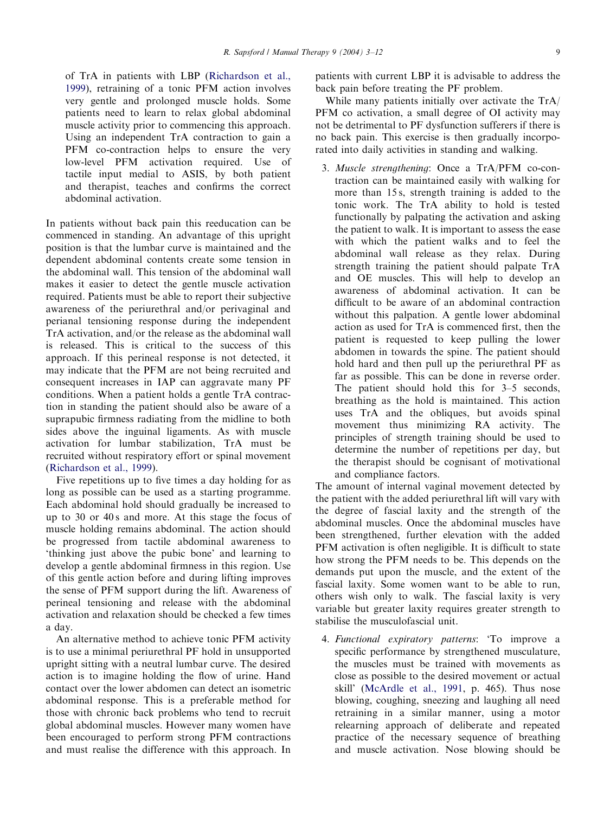of TrA in patients with LBP (Richardson et al., 1999), retraining of a tonic PFM action involves very gentle and prolonged muscle holds. Some patients need to learn to relax global abdominal muscle activity prior to commencing this approach. Using an independent TrA contraction to gain a PFM co-contraction helps to ensure the very low-level PFM activation required. Use of tactile input medial to ASIS, by both patient and therapist, teaches and confirms the correct abdominal activation.

In patients without back pain this reeducation can be commenced in standing. An advantage of this upright position is that the lumbar curve is maintained and the dependent abdominal contents create some tension in the abdominal wall. This tension of the abdominal wall makes it easier to detect the gentle muscle activation required. Patients must be able to report their subjective awareness of the periurethral and/or perivaginal and perianal tensioning response during the independent TrA activation, and/or the release as the abdominal wall is released. This is critical to the success of this approach. If this perineal response is not detected, it may indicate that the PFM are not being recruited and consequent increases in IAP can aggravate many PF conditions. When a patient holds a gentle TrA contraction in standing the patient should also be aware of a [suprapubic firmness rad](#page-8-0)iating from the midline to both sides above the inguinal ligaments. As with muscle activation for lumbar stabilization, TrA must be recruited without respiratory effort or spinal movement (Richardson et al., 1999).

Five repetitions up to five times a day holding for as long as possible can be used as a starting programme. Each abdominal hold should gradually be increased to up to 30 or 40 s and more. At this stage the focus of muscle holding remains abdominal. The action should be progressed from tactile abdominal awareness to 'thinking just above the pubic bone' and learning to develop a gentle abdominal firmness in this region. Use of this gentle action before and during lifting improves the sense of PFM support during the lift. Awareness of perineal tensioning and release with the abdominal activation and relaxation should be checked a few times a day.

An alternative method to achieve tonic PFM activity is to use a minimal periurethral PF hold in unsupported upright sitting with a neutral lumbar curve. The desired action is to imagine holding the flow of urine. Hand contact over the lower abdomen can detect an isometric abdominal response. This is a preferable method for those with chronic back problems who tend to recruit global abdominal muscles. However many women have been encouraged to perform strong PFM contractions and must realise the difference with this approach. In

patients with current LBP it is advisable to address the back pain before treating the PF problem.

While many patients initially over activate the TrA/ PFM co activation, a small degree of OI activity may not be detrimental to PF dysfunction sufferers if there is no back pain. This exercise is then gradually incorporated into daily activities in standing and walking.

3. Muscle strengthening: Once a TrA/PFM co-contraction can be maintained easily with walking for more than 15 s, strength training is added to the tonic work. The TrA ability to hold is tested functionally by palpating the activation and asking the patient to walk. It is important to assess the ease with which the patient walks and to feel the abdominal wall release as they relax. During strength training the patient should palpate TrA and OE muscles. This will help to develop an awareness of abdominal activation. It can be difficult to be aware of an abdominal contraction without this palpation. A gentle lower abdominal action as used for TrA is commenced first, then the patient is requested to keep pulling the lower abdomen in towards the spine. The patient should hold hard and then pull up the periurethral PF as far as possible. This can be done in reverse order. The patient should hold this for 3–5 seconds, breathing as the hold is maintained. This action uses TrA and the obliques, but avoids spinal movement thus minimizing RA activity. The principles of strength training should be used to determine the number of repetitions per day, but the therapist should be cognisant of motivational and compliance factors.

The amount of internal vaginal movement detected by the patient with the added periurethral lift will vary with the degree of fascial laxity and the strength of the abdominal muscles. Once the abdominal muscles have been strengthened, further elevation with the added PFM activation is often negligible. It is difficult to state how strong the PFM needs to be. This depends on the demands put upon the muscle, and the extent of the fascial laxity. Some women want to be able to run, others wish only to walk. The fascial laxity is very variable but greater laxity requires greater strength to stabilise the musculofascial unit.

4. Functi[onal expiratory patter](#page-8-0)ns: 'To improve a specific performance by strengthened musculature, the muscles must be trained with movements as close as possible to the desired movement or actual skill' (McArdle et al., 1991, p. 465). Thus nose blowing, coughing, sneezing and laughing all need retraining in a similar manner, using a motor relearning approach of deliberate and repeated practice of the necessary sequence of breathing and muscle activation. Nose blowing should be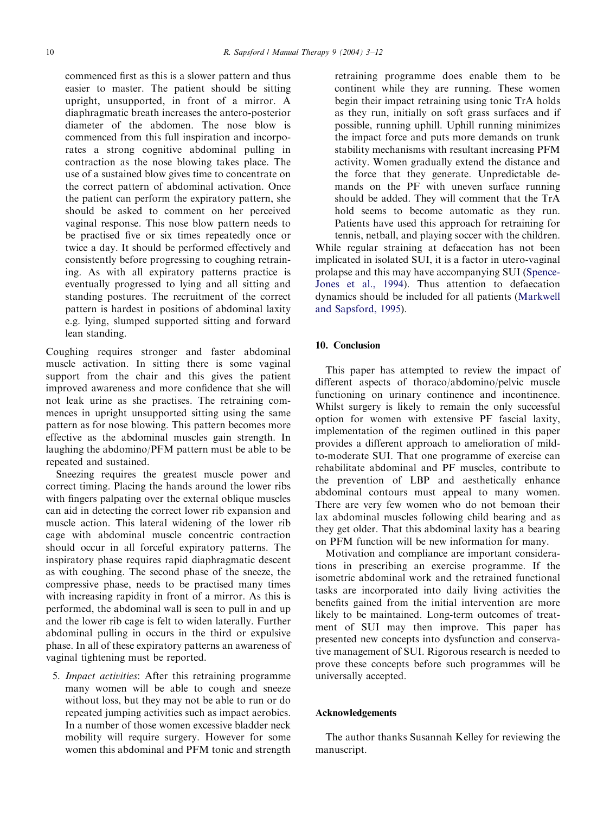commenced first as this is a slower pattern and thus easier to master. The patient should be sitting upright, unsupported, in front of a mirror. A diaphragmatic breath increases the antero-posterior diameter of the abdomen. The nose blow is commenced from this full inspiration and incorporates a strong cognitive abdominal pulling in contraction as the nose blowing takes place. The use of a sustained blow gives time to concentrate on the correct pattern of abdominal activation. Once the patient can perform the expiratory pattern, she should be asked to comment on her perceived vaginal response. This nose blow pattern needs to be practised five or six times repeatedly once or twice a day. It should be performed effectively and consistently before progressing to coughing retraining. As with all expiratory patterns practice is eventually progressed to lying and all sitting and standing postures. The recruitment of the correct pattern is hardest in positions of abdominal laxity e.g. lying, slumped supported sitting and forward lean standing.

Coughing requires stronger and faster abdominal muscle activation. In sitting there is some vaginal support from the chair and this gives the patient improved awareness and more confidence that she will not leak urine as she practises. The retraining commences in upright unsupported sitting using the same pattern as for nose blowing. This pattern becomes more effective as the abdominal muscles gain strength. In laughing the abdomino/PFM pattern must be able to be repeated and sustained.

Sneezing requires the greatest muscle power and correct timing. Placing the hands around the lower ribs with fingers palpating over the external oblique muscles can aid in detecting the correct lower rib expansion and muscle action. This lateral widening of the lower rib cage with abdominal muscle concentric contraction should occur in all forceful expiratory patterns. The inspiratory phase requires rapid diaphragmatic descent as with coughing. The second phase of the sneeze, the compressive phase, needs to be practised many times with increasing rapidity in front of a mirror. As this is performed, the abdominal wall is seen to pull in and up and the lower rib cage is felt to widen laterally. Further abdominal pulling in occurs in the third or expulsive phase. In all of these expiratory patterns an awareness of vaginal tightening must be reported.

5. Impact activities: After this retraining programme many women will be able to cough and sneeze without loss, but they may not be able to run or do repeated jumping activities such as impact aerobics. In a number of those women excessive bladder neck mobility will require surgery. However for some women this abdominal and PFM tonic and strength retraining programme does enable them to be continent while they are running. These women begin their impact retraining using tonic TrA holds as they run, initially on soft grass surfaces and if possible, running uphill. Uphill running minimizes the impact force and puts more demands on trunk stability mechanisms with resultant increasing PFM activity. Women gradually extend the distance and the force that they generate. Unpredictable demands on the PF with uneven surface running should be added. They will comment that the TrA hold seems to become automatic as they run. Patients have used this approach for retrai[ning for](#page-8-0) [tennis, netball, a](#page-8-0)nd playing soccer with the children.

While regular straining at defaecation has [not been](#page-8-0) [implicated in isolate](#page-8-0)d SUI, it is a factor in utero-vaginal prolapse and this may have accompanying SUI (Spence-Jones et al., 1994). Thus attention to defaecation dynamics should be included for all patients (Markwell and Sapsford, 1995).

# 10. Conclusion

This paper has attempted to review the impact of different aspects of thoraco/abdomino/pelvic muscle functioning on urinary continence and incontinence. Whilst surgery is likely to remain the only successful option for women with extensive PF fascial laxity, implementation of the regimen outlined in this paper provides a different approach to amelioration of mildto-moderate SUI. That one programme of exercise can rehabilitate abdominal and PF muscles, contribute to the prevention of LBP and aesthetically enhance abdominal contours must appeal to many women. There are very few women who do not bemoan their lax abdominal muscles following child bearing and as they get older. That this abdominal laxity has a bearing on PFM function will be new information for many.

Motivation and compliance are important considerations in prescribing an exercise programme. If the isometric abdominal work and the retrained functional tasks are incorporated into daily living activities the benefits gained from the initial intervention are more likely to be maintained. Long-term outcomes of treatment of SUI may then improve. This paper has presented new concepts into dysfunction and conservative management of SUI. Rigorous research is needed to prove these concepts before such programmes will be universally accepted.

## Acknowledgements

The author thanks Susannah Kelley for reviewing the manuscript.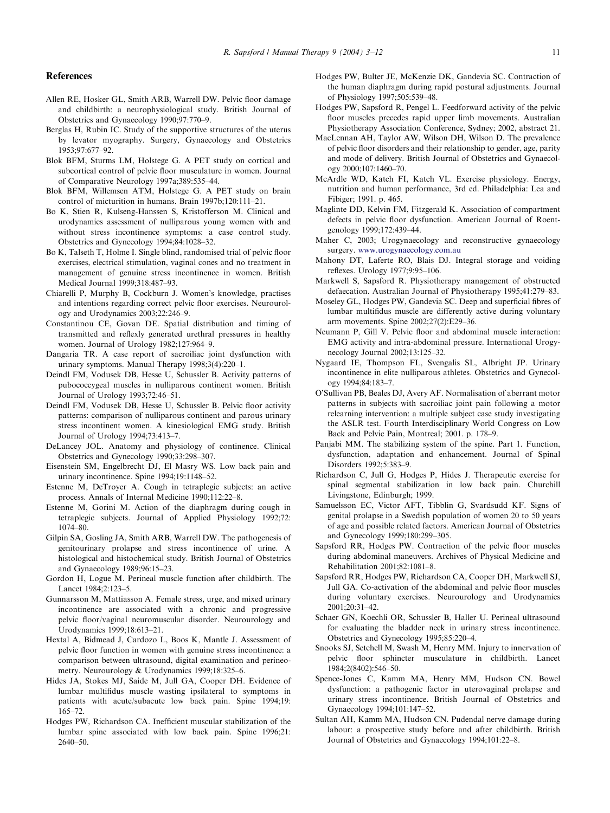#### <span id="page-8-0"></span>References

- Allen RE, Hosker GL, Smith ARB, Warrell DW. Pelvic floor damage and childbirth: a neurophysiological study. British Journal of Obstetrics and Gynaecology 1990;97:770–9.
- Berglas H, Rubin IC. Study of the supportive structures of the uterus by levator myography. Surgery, Gynaecology and Obstetrics 1953;97:677–92.
- Blok BFM, Sturms LM, Holstege G. A PET study on cortical and subcortical control of pelvic floor musculature in women. Journal of Comparative Neurology 1997a;389:535–44.
- Blok BFM, Willemsen ATM, Holstege G. A PET study on brain control of micturition in humans. Brain 1997b;120:111–21.
- Bo K, Stien R, Kulseng-Hanssen S, Kristofferson M. Clinical and urodynamics assessment of nulliparous young women with and without stress incontinence symptoms: a case control study. Obstetrics and Gynecology 1994;84:1028–32.
- Bo K, Talseth T, Holme I. Single blind, randomised trial of pelvic floor exercises, electrical stimulation, vaginal cones and no treatment in management of genuine stress incontinence in women. British Medical Journal 1999;318:487–93.
- Chiarelli P, Murphy B, Cockburn J. Women's knowledge, practises and intentions regarding correct pelvic floor exercises. Neurourology and Urodynamics 2003;22:246–9.
- Constantinou CE, Govan DE. Spatial distribution and timing of transmitted and reflexly generated urethral pressures in healthy women. Journal of Urology 1982;127:964–9.
- Dangaria TR. A case report of sacroiliac joint dysfunction with urinary symptoms. Manual Therapy 1998;3(4):220–1.
- Deindl FM, Vodusek DB, Hesse U, Schussler B. Activity patterns of pubococcygeal muscles in nulliparous continent women. British Journal of Urology 1993;72:46–51.
- Deindl FM, Vodusek DB, Hesse U, Schussler B. Pelvic floor activity patterns: comparison of nulliparous continent and parous urinary stress incontinent women. A kinesiological EMG study. British Journal of Urology 1994;73:413–7.
- DeLancey JOL. Anatomy and physiology of continence. Clinical Obstetrics and Gynecology 1990;33:298–307.
- Eisenstein SM, Engelbrecht DJ, El Masry WS. Low back pain and urinary incontinence. Spine 1994;19:1148–52.
- Estenne M, DeTroyer A. Cough in tetraplegic subjects: an active process. Annals of Internal Medicine 1990;112:22–8.
- Estenne M, Gorini M. Action of the diaphragm during cough in tetraplegic subjects. Journal of Applied Physiology 1992;72: 1074–80.
- Gilpin SA, Gosling JA, Smith ARB, Warrell DW. The pathogenesis of genitourinary prolapse and stress incontinence of urine. A histological and histochemical study. British Journal of Obstetrics and Gynaecology 1989;96:15–23.
- Gordon H, Logue M. Perineal muscle function after childbirth. The Lancet 1984;2:123–5.
- Gunnarsson M, Mattiasson A. Female stress, urge, and mixed urinary incontinence are associated with a chronic and progressive pelvic floor/vaginal neuromuscular disorder. Neurourology and Urodynamics 1999;18:613–21.
- Hextal A, Bidmead J, Cardozo L, Boos K, Mantle J. Assessment of pelvic floor function in women with genuine stress incontinence: a comparison between ultrasound, digital examination and perineometry. Neurourology & Urodynamics 1999;18:325–6.
- Hides JA, Stokes MJ, Saide M, Jull GA, Cooper DH. Evidence of lumbar multifidus muscle wasting ipsilateral to symptoms in patients with acute/subacute low back pain. Spine 1994;19: 165–72.
- Hodges PW, Richardson CA. Inefficient muscular stabilization of the lumbar spine associated with low back pain. Spine 1996;21: 2640–50.
- Hodges PW, Bulter JE, McKenzie DK, Gandevia SC. Contraction of the human diaphragm during rapid postural adjustments. Journal of Physiology 1997;505:539–48.
- Hodges PW, Sapsford R, Pengel L. Feedforward activity of the pelvic floor muscles precedes rapid upper limb movements. Australian Physiotherapy Association Conference, Sydney; 2002, abstract 21.
- MacLennan AH, Taylor AW, Wilson DH, Wilson D. The prevalence of pelvic floor disorders and their relationship to gender, age, parity and mode of delivery. British Journal of Obstetrics and Gynaecology 2000;107:1460–70.
- McArdle WD, Katch FI, Katch VL. Exercise physiology. Energy, nutrition and human performance, 3rd ed. Philadelphia: Lea and Fibiger; [1991. p. 465.](http://www.urogynaecology.com.au)
- Maglinte DD, Kelvin FM, Fitzgerald K. Association of compartment defects in pelvic floor dysfunction. American Journal of Roentgenology 1999;172:439–44.
- Maher C, 2003; Urogynaecology and reconstructive gynaecology surgery. www.urogynaecology.com.au
- Mahony DT, Laferte RO, Blais DJ. Integral storage and voiding reflexes. Urology 1977;9:95–106.
- Markwell S, Sapsford R. Physiotherapy management of obstructed defaecation. Australian Journal of Physiotherapy 1995;41:279–83.
- Moseley GL, Hodges PW, Gandevia SC. Deep and superficial fibres of lumbar multifidus muscle are differently active during voluntary arm movements. Spine 2002;27(2):E29–36.
- Neumann P, Gill V. Pelvic floor and abdominal muscle interaction: EMG activity and intra-abdominal pressure. International Urogynecology Journal 2002;13:125–32.
- Nygaard IE, Thompson FL, Svengalis SL, Albright JP. Urinary incontinence in elite nulliparous athletes. Obstetrics and Gynecol- $0.994.84.183 - 7$
- O'Sullivan PB, Beales DJ, Avery AF. Normalisation of aberrant motor patterns in subjects with sacroiliac joint pain following a motor relearning intervention: a multiple subject case study investigating the ASLR test. Fourth Interdisciplinary World Congress on Low Back and Pelvic Pain, Montreal; 2001. p. 178–9.
- Panjabi MM. The stabilizing system of the spine. Part 1. Function, dysfunction, adaptation and enhancement. Journal of Spinal Disorders 1992;5:383–9.
- Richardson C, Jull G, Hodges P, Hides J. Therapeutic exercise for spinal segmental stabilization in low back pain. Churchill Livingstone, Edinburgh; 1999.
- Samuelsson EC, Victor AFT, Tibblin G, Svardsudd KF. Signs of genital prolapse in a Swedish population of women 20 to 50 years of age and possible related factors. American Journal of Obstetrics and Gynecology 1999;180:299–305.
- Sapsford RR, Hodges PW. Contraction of the pelvic floor muscles during abdominal maneuvers. Archives of Physical Medicine and Rehabilitation 2001;82:1081–8.
- Sapsford RR, Hodges PW, Richardson CA, Cooper DH, Markwell SJ, Jull GA. Co-activation of the abdominal and pelvic floor muscles during voluntary exercises. Neurourology and Urodynamics  $2001:20:31-42$ .
- Schaer GN, Koechli OR, Schussler B, Haller U. Perineal ultrasound for evaluating the bladder neck in urinary stress incontinence. Obstetrics and Gynecology 1995;85:220–4.
- Snooks SJ, Setchell M, Swash M, Henry MM. Injury to innervation of pelvic floor sphincter musculature in childbirth. Lancet 1984;2(8402):546–50.
- Spence-Jones C, Kamm MA, Henry MM, Hudson CN. Bowel dysfunction: a pathogenic factor in uterovaginal prolapse and urinary stress incontinence. British Journal of Obstetrics and Gynaecology 1994;101:147–52.
- Sultan AH, Kamm MA, Hudson CN. Pudendal nerve damage during labour: a prospective study before and after childbirth. British Journal of Obstetrics and Gynaecology 1994;101:22–8.